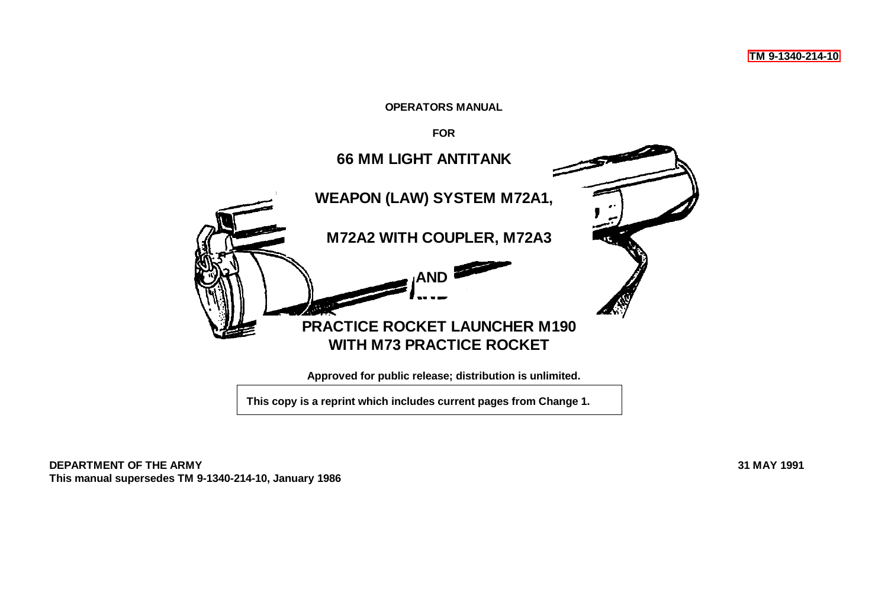#### **OPERATORS MANUAL**

**FOR**

<span id="page-0-0"></span>

**This copy is a reprint which includes current pages from Change 1.**

**DEPARTMENT OF THE ARMY 31 MAY 1991 This manual supersedes TM 9-1340-214-10, January 1986**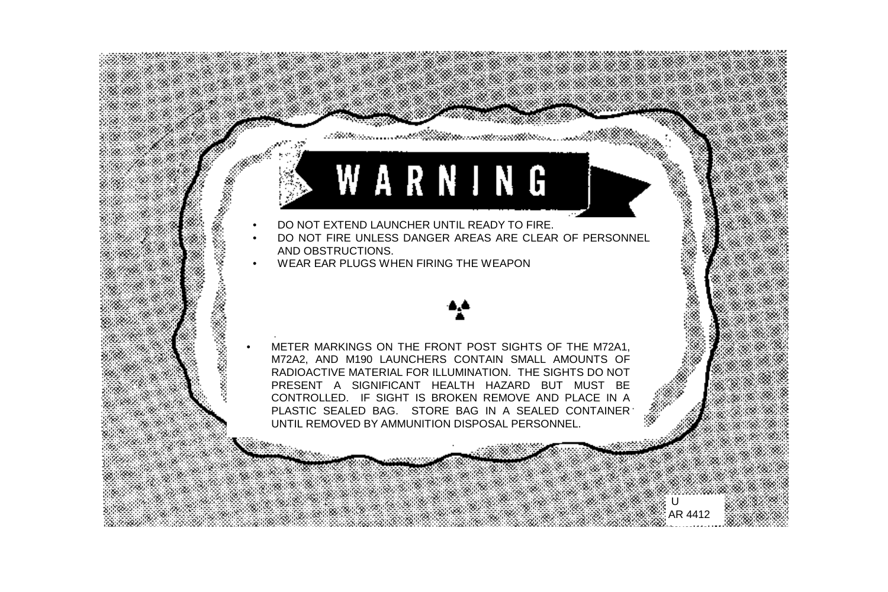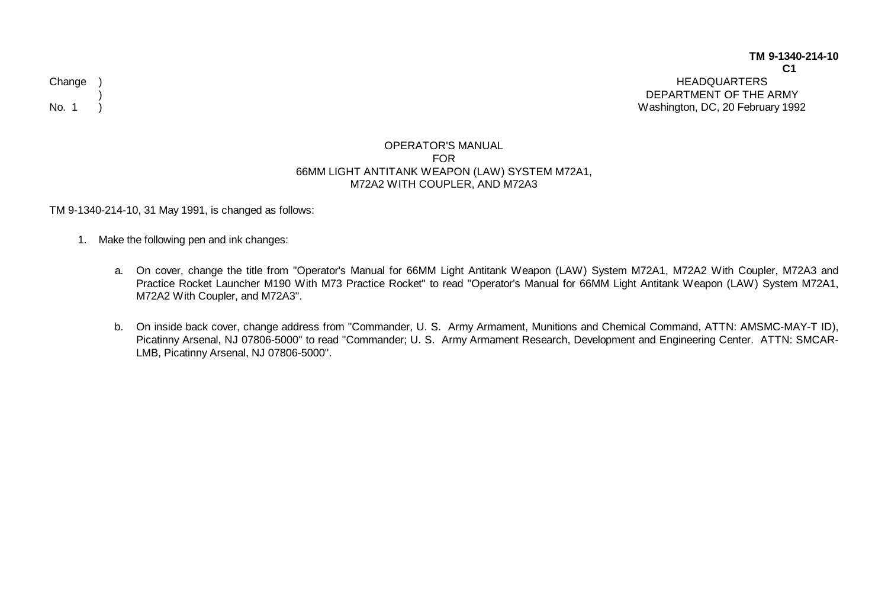#### **TM 9-1340-214-10 C1** HEADQUARTERS DEPARTMENT OF THE ARMY Washington, DC, 20 February 1992

)

#### OPERATOR'S MANUAL FOR 66MM LIGHT ANTITANK WEAPON (LAW) SYSTEM M72A1, M72A2 WITH COUPLER, AND M72A3

TM 9-1340-214-10, 31 May 1991, is changed as follows:

- 1. Make the following pen and ink changes:
	- a. On cover, change the title from "Operator's Manual for 66MM Light Antitank Weapon (LAW) System M72A1, M72A2 With Coupler, M72A3 and Practice Rocket Launcher M190 With M73 Practice Rocket" to read "Operator's Manual for 66MM Light Antitank Weapon (LAW) System M72A1, M72A2 With Coupler, and M72A3".
	- b. On inside back cover, change address from "Commander, U. S. Army Armament, Munitions and Chemical Command, ATTN: AMSMC-MAY-T ID), Picatinny Arsenal, NJ 07806-5000" to read "Commander; U. S. Army Armament Research, Development and Engineering Center. ATTN: SMCAR-LMB, Picatinny Arsenal, NJ 07806-5000".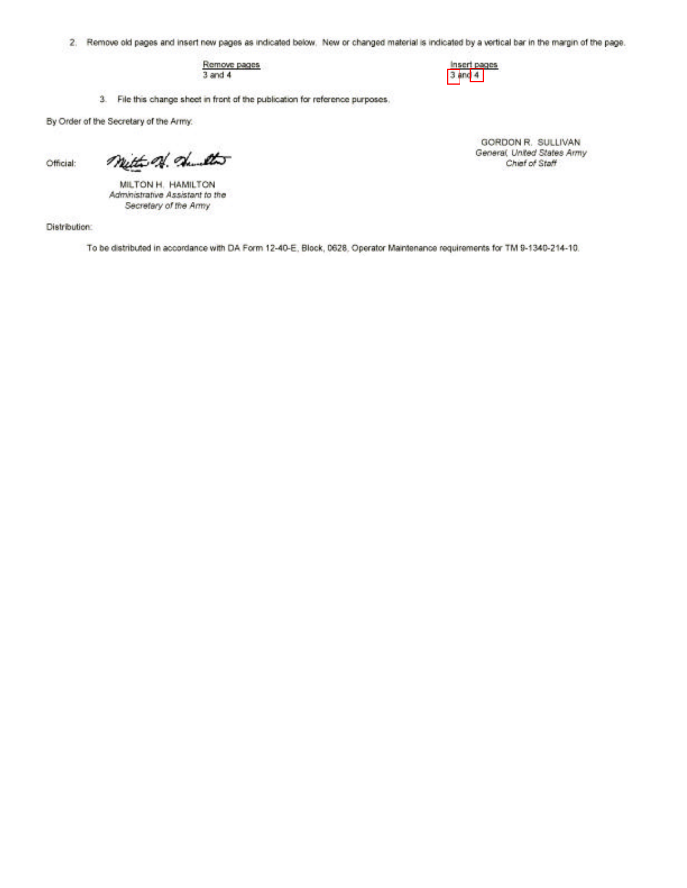2. Remove old pages and insert new pages as indicated below. New or changed material is indicated by a vertical bar in the margin of the page.

Remove pages  $3$  and  $4$ 

Insert pages  $3$  and  $4$ 

3. File this change sheet in front of the publication for reference purposes.

By Order of the Secretary of the Army.

Official:

mitte of dutte

MILTON H. HAMILTON Administrative Assistant to the Secretary of the Army

Distribution:

To be distributed in accordance with DA Form 12-40-E, Block, 0628, Operator Maintenance requirements for TM 9-1340-214-10.

GORDON R. SULLIVAN General, United States Army Chief of Staff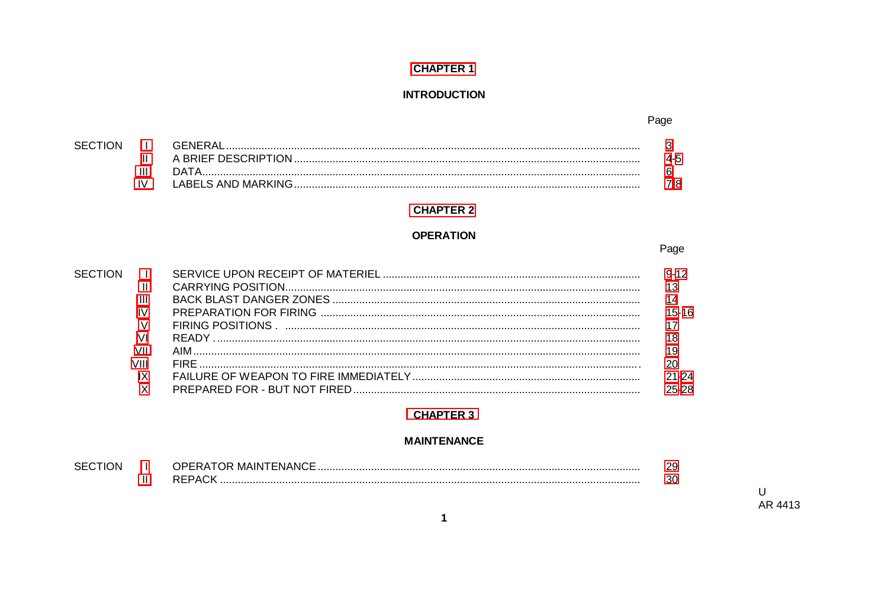# **CHAPTER 1**

# **INTRODUCTION**

Page

<span id="page-4-0"></span>

|  | (-I-NI-RAI          |     |
|--|---------------------|-----|
|  |                     |     |
|  |                     |     |
|  | LABELS AND MARKING. | 7.R |

# **CHAPTER 2**

# **OPERATION**

Page

|     | $15-16$ |
|-----|---------|
|     |         |
|     | 18      |
| VII | 19      |
|     | 20      |
| ıχ  | 1-24    |
|     | 25-28   |

# **CHAPTER 3**

# **MAINTENANCE**

|  | IOR MAINTENANC<br>יוטו | つこ         |
|--|------------------------|------------|
|  |                        | ٦c<br>' اک |

 $\sf U$ AR 4413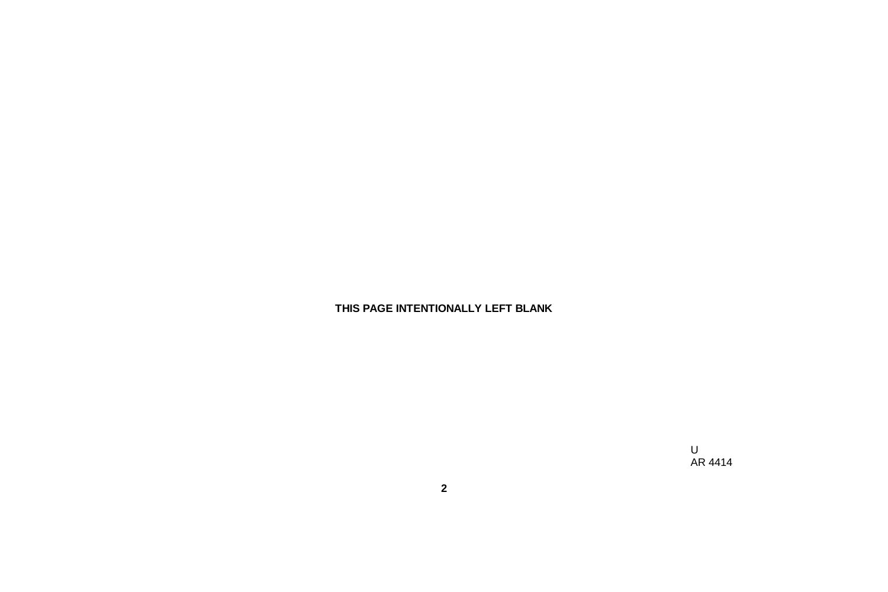# **THIS PAGE INTENTIONALLY LEFT BLANK**

U AR 4414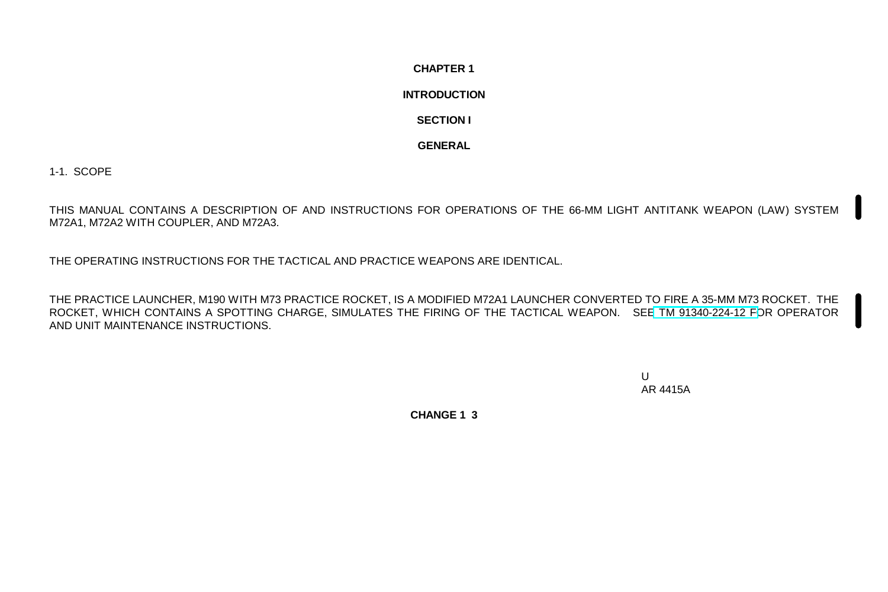**CHAPTER 1**

#### **INTRODUCTION**

**SECTION I**

**GENERAL**

<span id="page-6-0"></span>1-1. SCOPE

THIS MANUAL CONTAINS A DESCRIPTION OF AND INSTRUCTIONS FOR OPERATIONS OF THE 66-MM LIGHT ANTITANK WEAPON (LAW) SYSTEM M72A1, M72A2 WITH COUPLER, AND M72A3.

THE OPERATING INSTRUCTIONS FOR THE TACTICAL AND PRACTICE WEAPONS ARE IDENTICAL.

THE PRACTICE LAUNCHER, M190 WITH M73 PRACTICE ROCKET, IS A MODIFIED M72A1 LAUNCHER CONVERTED TO FIRE A 35-MM M73 ROCKET. THE ROCKET, WHICH CONTAINS A SPOTTING CHARGE, SIMULATES THE FIRING OF THE TACTICAL WEAPON. SE[E TM 91340-224-12 FO](#page-0-0)R OPERATOR AND UNIT MAINTENANCE INSTRUCTIONS.

> $\mathbf{U}$ AR 4415A

**CHANGE 1 3**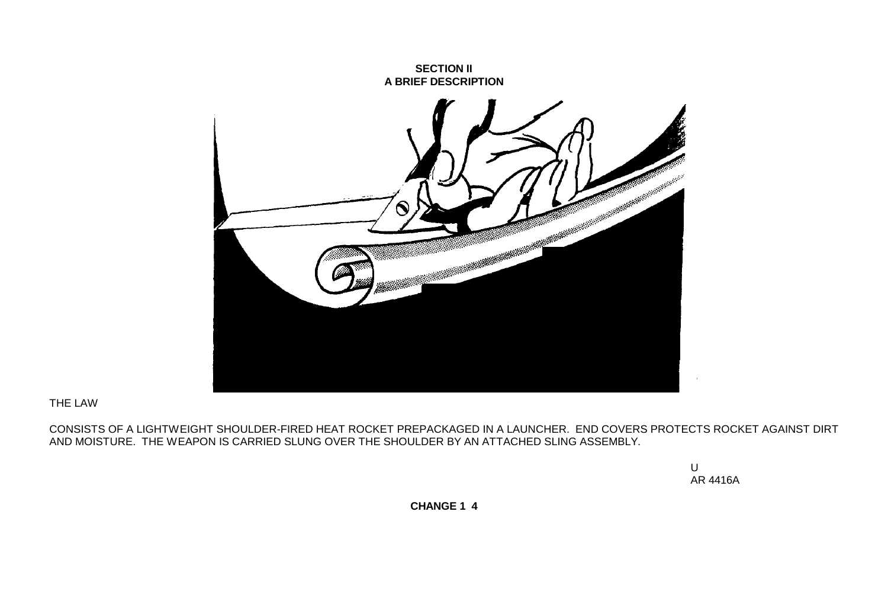<span id="page-7-0"></span>

THE LAW

CONSISTS OF A LIGHTWEIGHT SHOULDER-FIRED HEAT ROCKET PREPACKAGED IN A LAUNCHER. END COVERS PROTECTS ROCKET AGAINST DIRT AND MOISTURE. THE WEAPON IS CARRIED SLUNG OVER THE SHOULDER BY AN ATTACHED SLING ASSEMBLY.

> U AR 4416A

**CHANGE 1 4**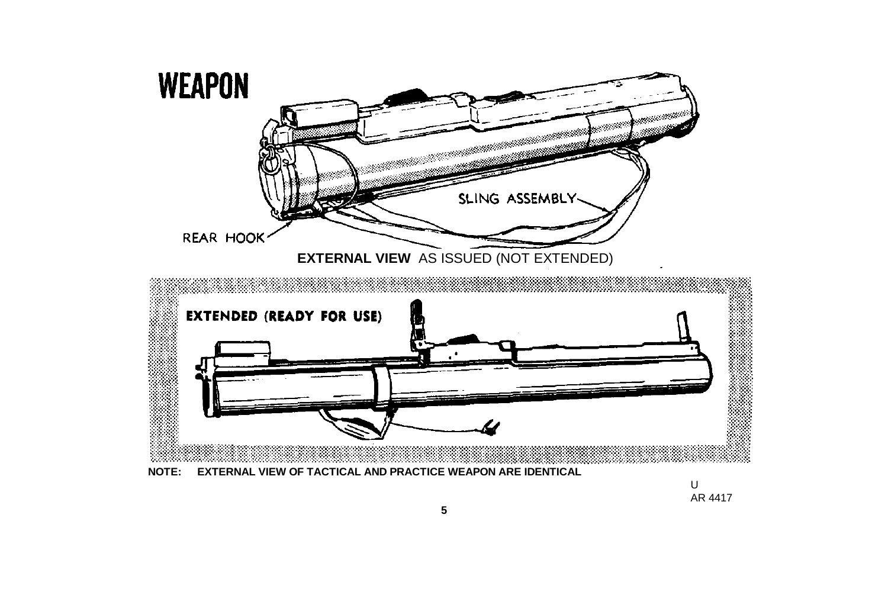<span id="page-8-0"></span>

AR 4417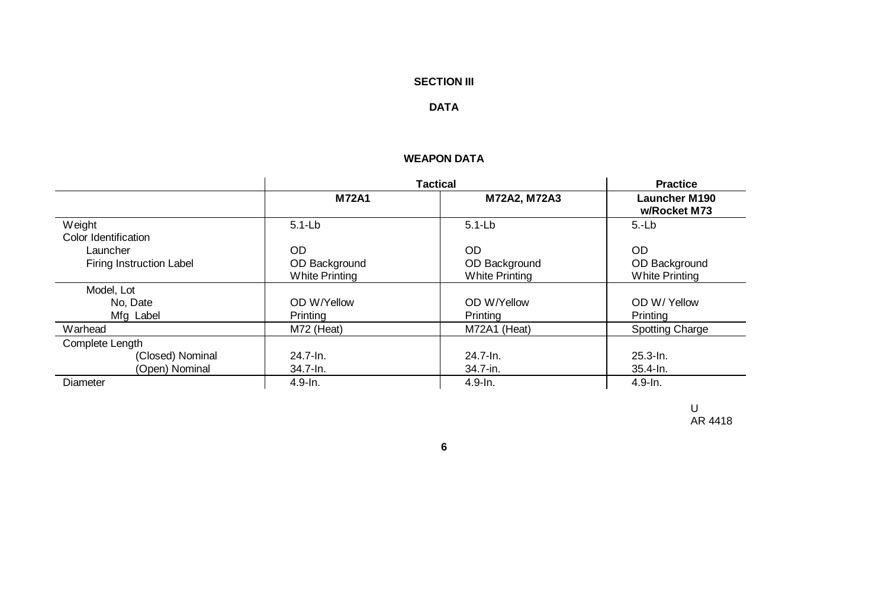# **SECTION III**

# **DATA**

# **WEAPON DATA**

<span id="page-9-0"></span>

|                          | <b>Tactical</b>       |                | <b>Practice</b>                      |  |
|--------------------------|-----------------------|----------------|--------------------------------------|--|
|                          | <b>M72A1</b>          | M72A2, M72A3   | <b>Launcher M190</b><br>w/Rocket M73 |  |
| Weight                   | $5.1-Lb$              | $5.1-Lb$       | $5.-Lb$                              |  |
| Color Identification     |                       |                |                                      |  |
| Launcher                 | <b>OD</b>             | <b>OD</b>      | <b>OD</b>                            |  |
| Firing Instruction Label | OD Background         | OD Background  | OD Background                        |  |
|                          | <b>White Printing</b> | White Printing | <b>White Printing</b>                |  |
| Model, Lot               |                       |                |                                      |  |
| No, Date                 | OD W/Yellow           | OD W/Yellow    | OD W/Yellow                          |  |
| Mfg Label                | Printing              | Printing       | Printing                             |  |
| Warhead                  | M72 (Heat)            | M72A1 (Heat)   | Spotting Charge                      |  |
| Complete Length          |                       |                |                                      |  |
| (Closed) Nominal         | 24.7-ln.              | 24.7-ln.       | $25.3 - In.$                         |  |
| (Open) Nominal           | 34.7-ln.              | 34.7-in.       | $35.4 - In.$                         |  |
| Diameter                 | 4.9-ln.               | $4.9 - In.$    | 4.9-ln.                              |  |

U AR 4418

**6**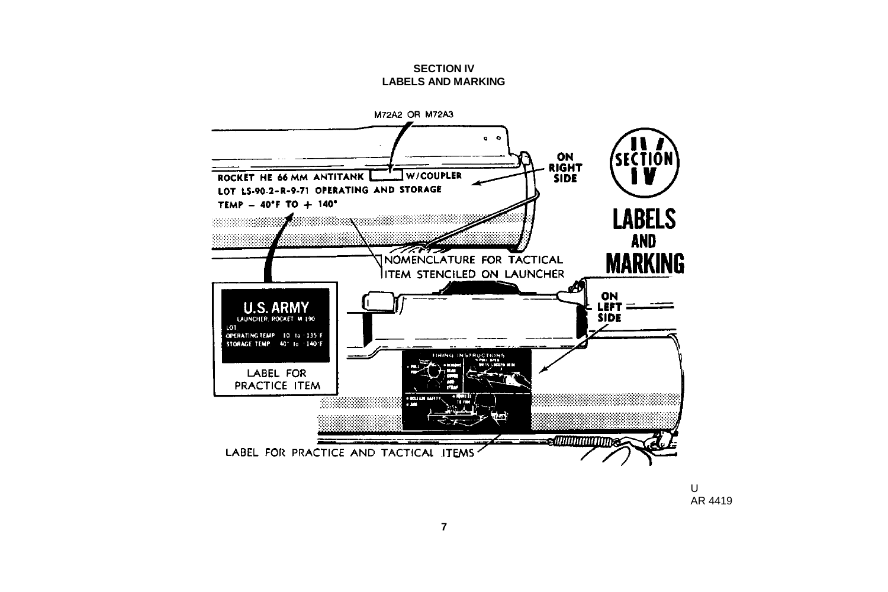#### **SECTION IV LABELS AND MARKING**

<span id="page-10-0"></span>

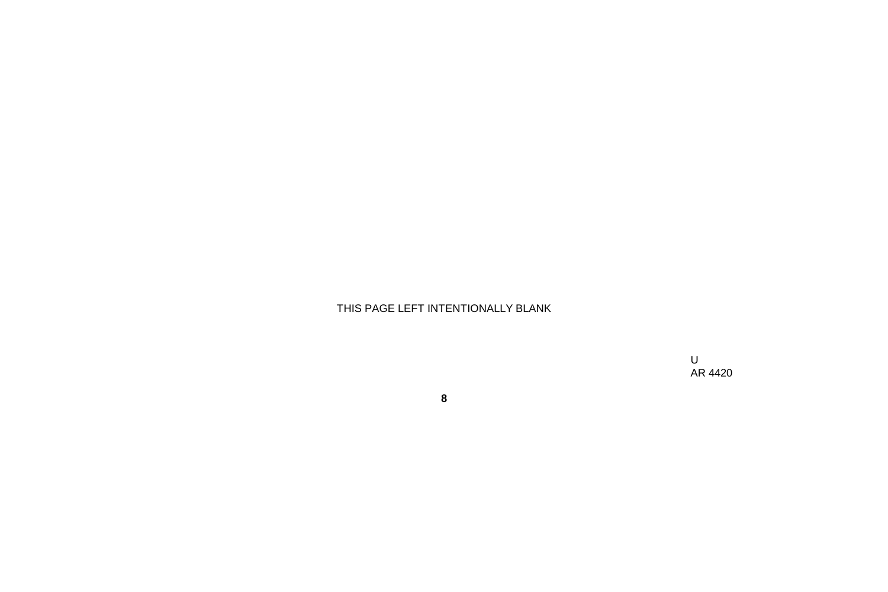# <span id="page-11-0"></span>THIS PAGE LEFT INTENTIONALLY BLANK

U AR 4420

**8**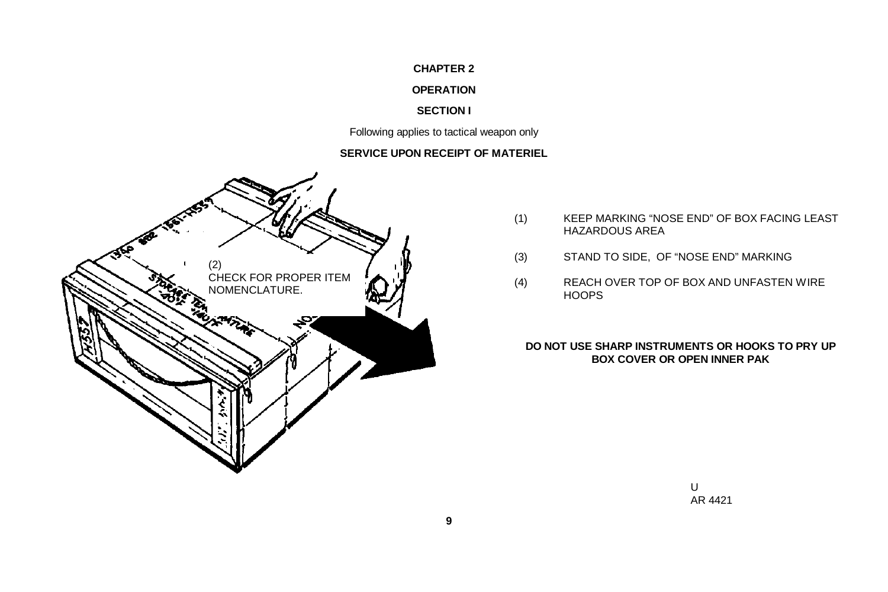#### **CHAPTER 2**

# **OPERATION**

# **SECTION I**

Following applies to tactical weapon only

# **SERVICE UPON RECEIPT OF MATERIEL**

<span id="page-12-0"></span>

- (1) KEEP MARKING "NOSE END" OF BOX FACING LEAST HAZARDOUS AREA
- (3) STAND TO SIDE, OF "NOSE END" MARKING
- (4) REACH OVER TOP OF BOX AND UNFASTEN WIRE **HOOPS**

#### **DO NOT USE SHARP INSTRUMENTS OR HOOKS TO PRY UP BOX COVER OR OPEN INNER PAK**

U AR 4421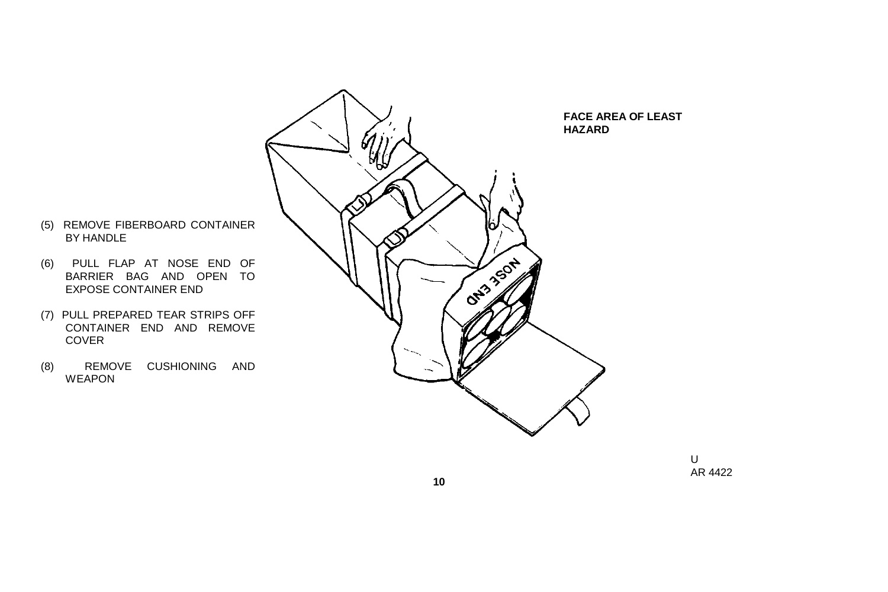



- (5) REMOVE FIBERBOARD CONTAINER BY HANDLE
- (6) PULL FLAP AT NOSE END OF BARRIER BAG AND OPEN TO EXPOSE CONTAINER END
- (7) PULL PREPARED TEAR STRIPS OFF CONTAINER END AND REMOVE COVER
- (8) REMOVE CUSHIONING AND WEAPON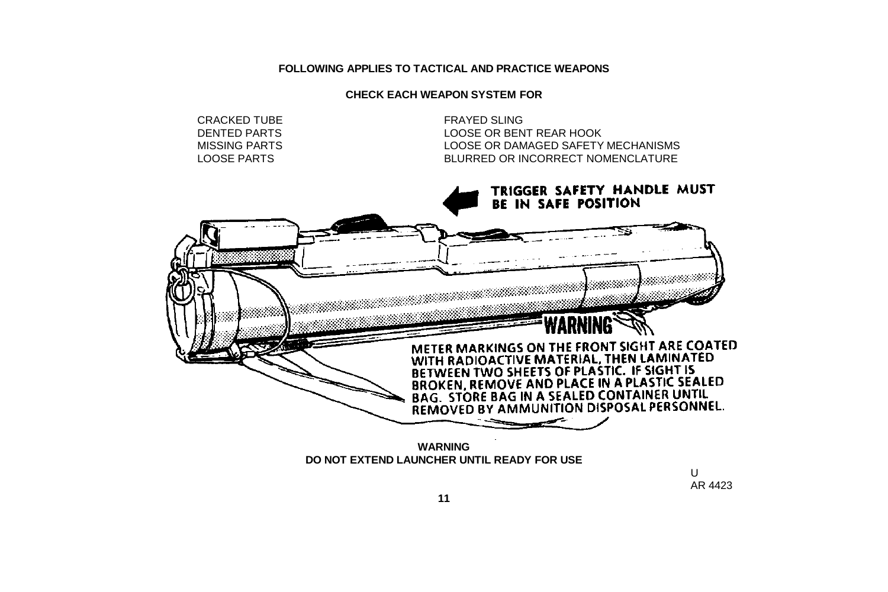#### **FOLLOWING APPLIES TO TACTICAL AND PRACTICE WEAPONS**

#### **CHECK EACH WEAPON SYSTEM FOR**

CRACKED TUBE FRAYED SLING

DENTED PARTS LOOSE OR BENT REAR HOOK MISSING PARTS LOOSE OR DAMAGED SAFETY MECHANISMS LOOSE PARTS BLURRED OR INCORRECT NOMENCLATURE



**WARNING DO NOT EXTEND LAUNCHER UNTIL READY FOR USE**

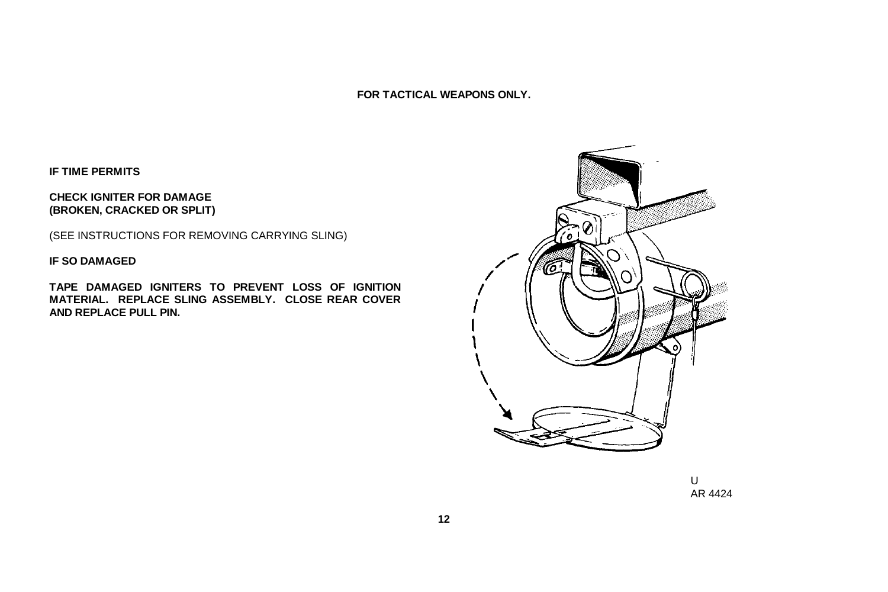**FOR TACTICAL WEAPONS ONLY.**

<span id="page-15-0"></span>**IF TIME PERMITS**

**CHECK IGNITER FOR DAMAGE (BROKEN, CRACKED OR SPLIT)**

(SEE INSTRUCTIONS FOR REMOVING CARRYING SLING)

**IF SO DAMAGED**

**TAPE DAMAGED IGNITERS TO PREVENT LOSS OF IGNITION MATERIAL. REPLACE SLING ASSEMBLY. CLOSE REAR COVER AND REPLACE PULL PIN.**



U AR 4424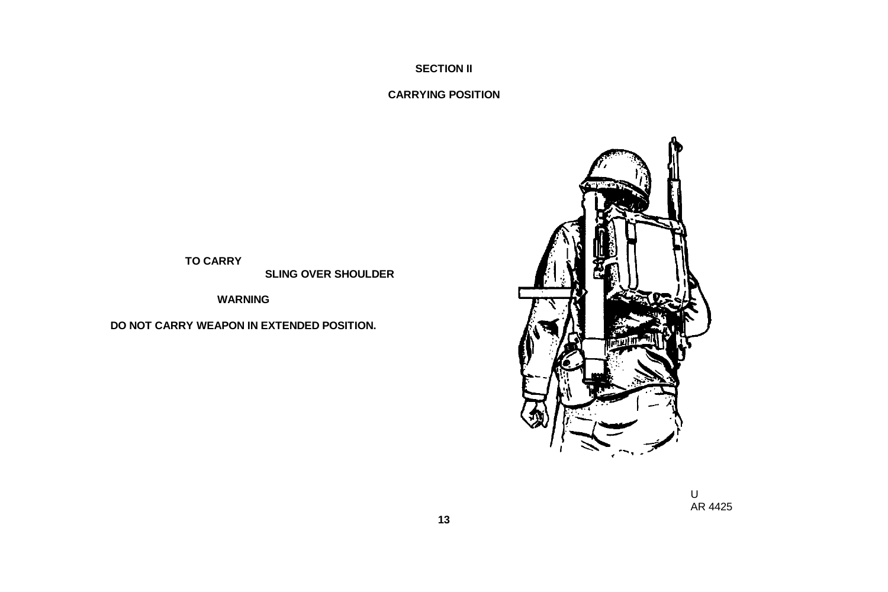# **SECTION II**

# **CARRYING POSITION**



U AR 4425

<span id="page-16-0"></span>**TO CARRY**

**SLING OVER SHOULDER**

**WARNING**

**DO NOT CARRY WEAPON IN EXTENDED POSITION.**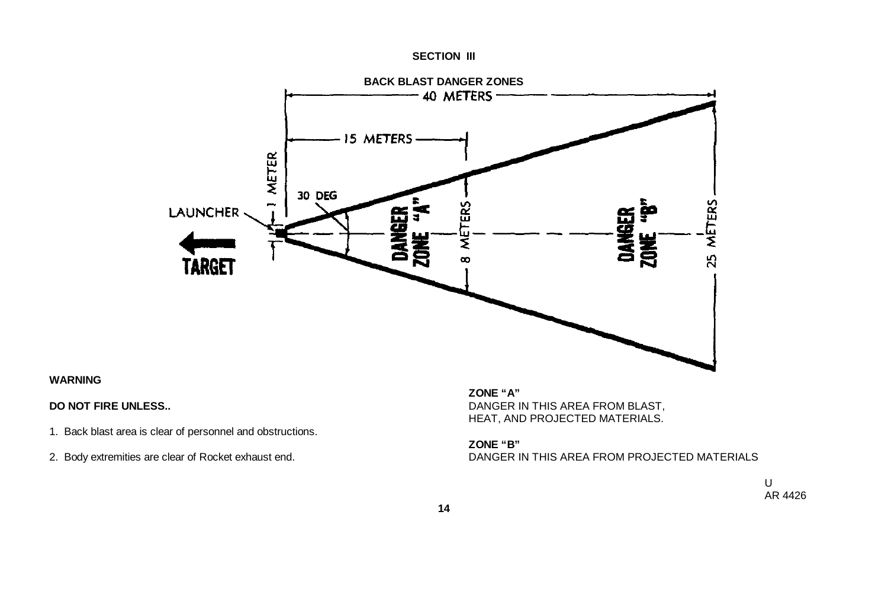#### **SECTION III**

<span id="page-17-0"></span>

#### **WARNING**

#### **DO NOT FIRE UNLESS..**

- 1. Back blast area is clear of personnel and obstructions.
- 2. Body extremities are clear of Rocket exhaust end.

# **ZONE "A"**

DANGER IN THIS AREA FROM BLAST, HEAT, AND PROJECTED MATERIALS.

#### **ZONE "B"**

DANGER IN THIS AREA FROM PROJECTED MATERIALS

U AR 4426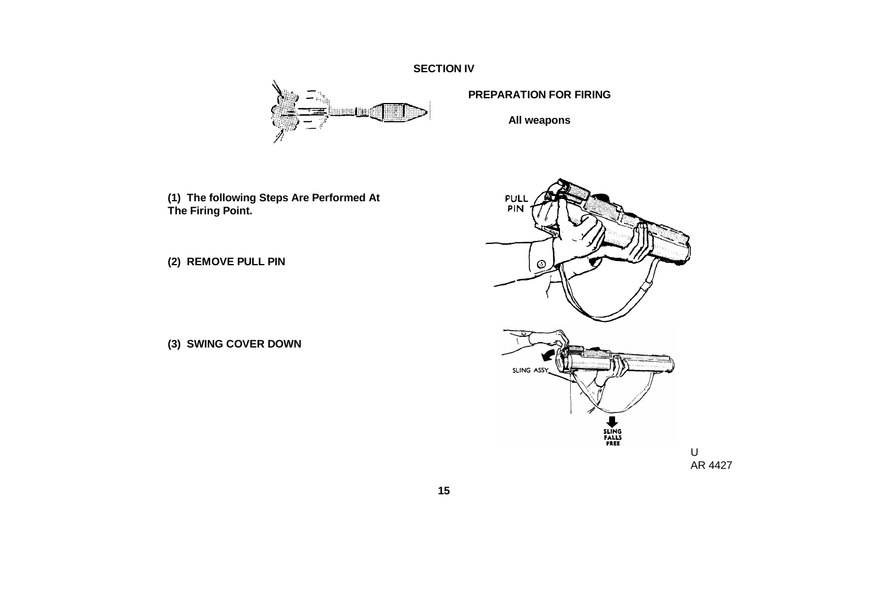**SECTION IV**



**PREPARATION FOR FIRING**

**All weapons**

<span id="page-18-0"></span>**(1) The following Steps Are Performed At The Firing Point.**

**(2) REMOVE PULL PIN**

**(3) SWING COVER DOWN**

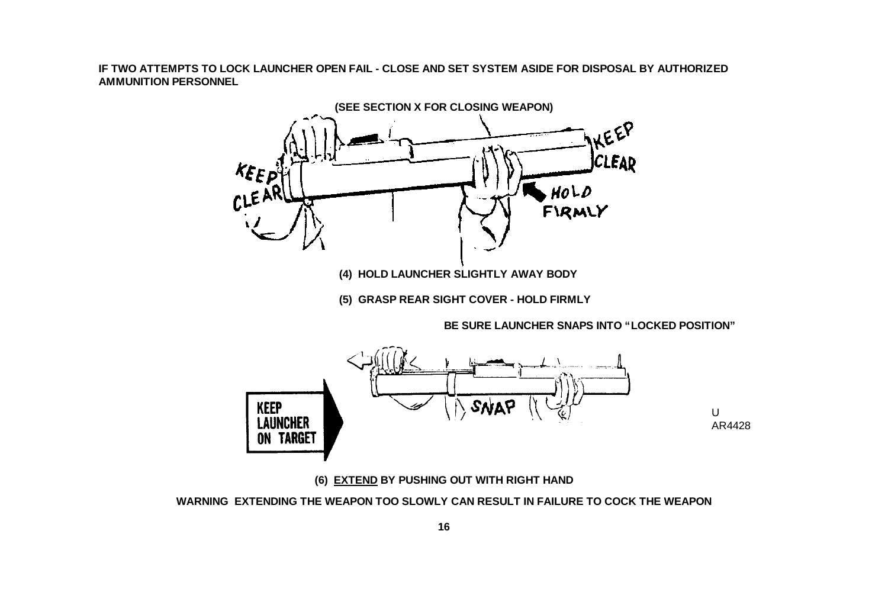<span id="page-19-0"></span>**IF TWO ATTEMPTS TO LOCK LAUNCHER OPEN FAIL - CLOSE AND SET SYSTEM ASIDE FOR DISPOSAL BY AUTHORIZED AMMUNITION PERSONNEL**



**(6) EXTEND BY PUSHING OUT WITH RIGHT HAND**

**WARNING EXTENDING THE WEAPON TOO SLOWLY CAN RESULT IN FAILURE TO COCK THE WEAPON**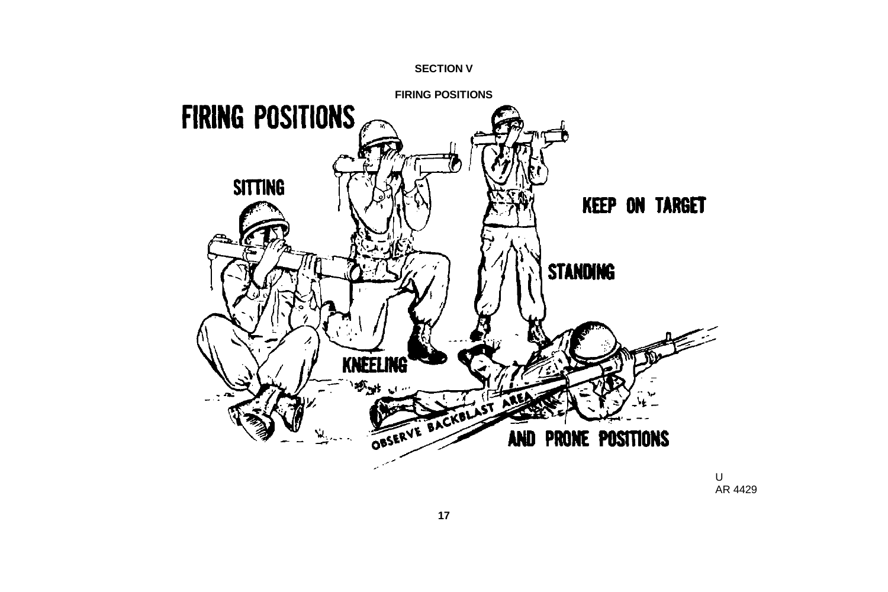

<span id="page-20-0"></span>

AR 4429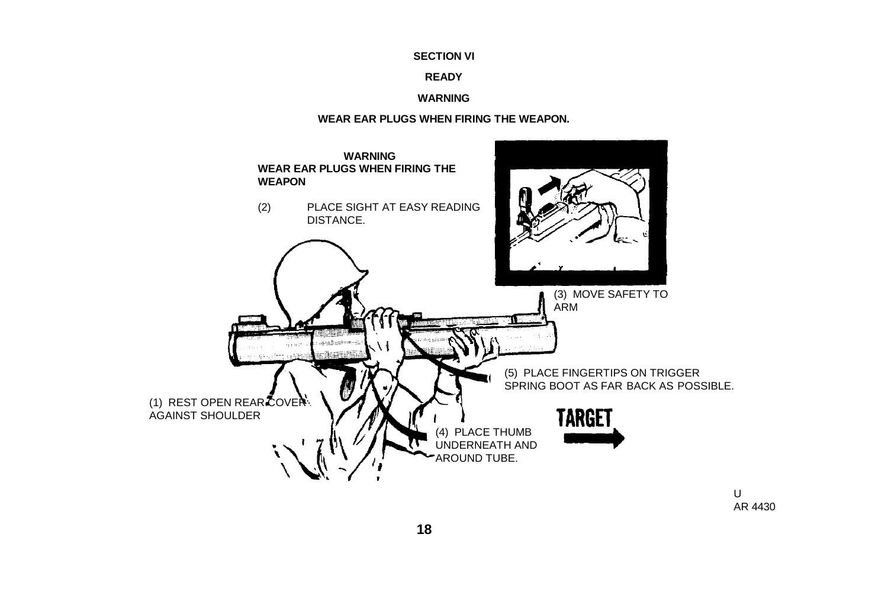#### **SECTION VI**

#### **READY**

#### **WARNING**

#### **WEAR EAR PLUGS WHEN FIRING THE WEAPON.**

<span id="page-21-0"></span>

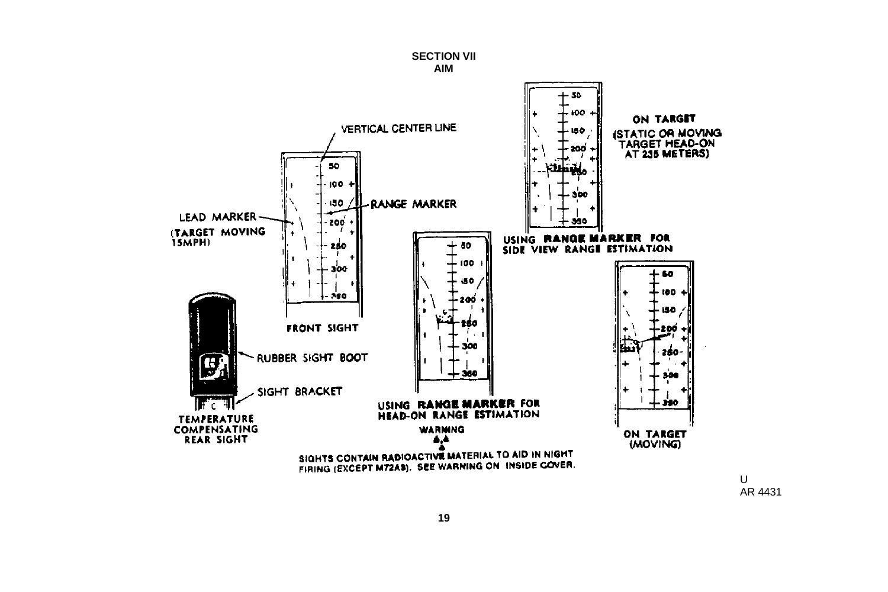<span id="page-22-0"></span>

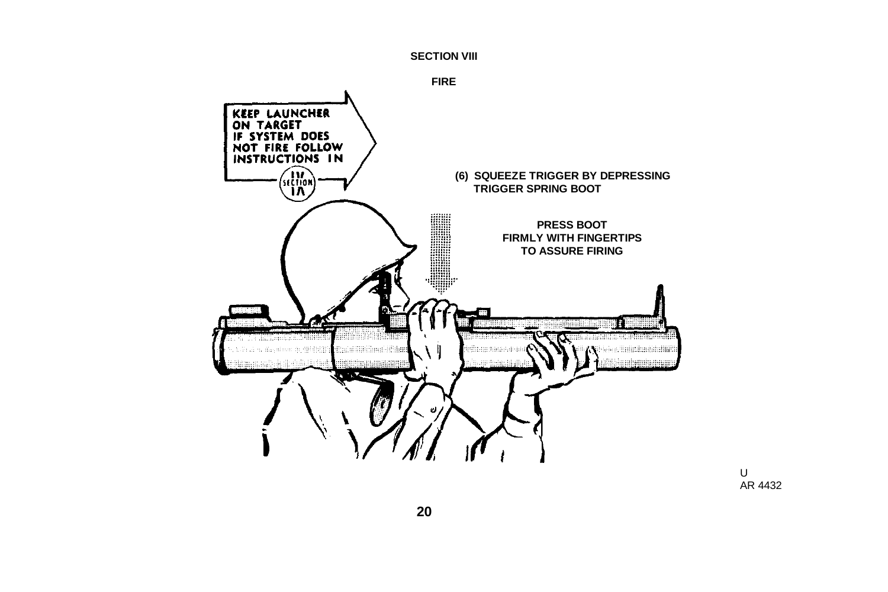#### **SECTION VIII**



<span id="page-23-0"></span>

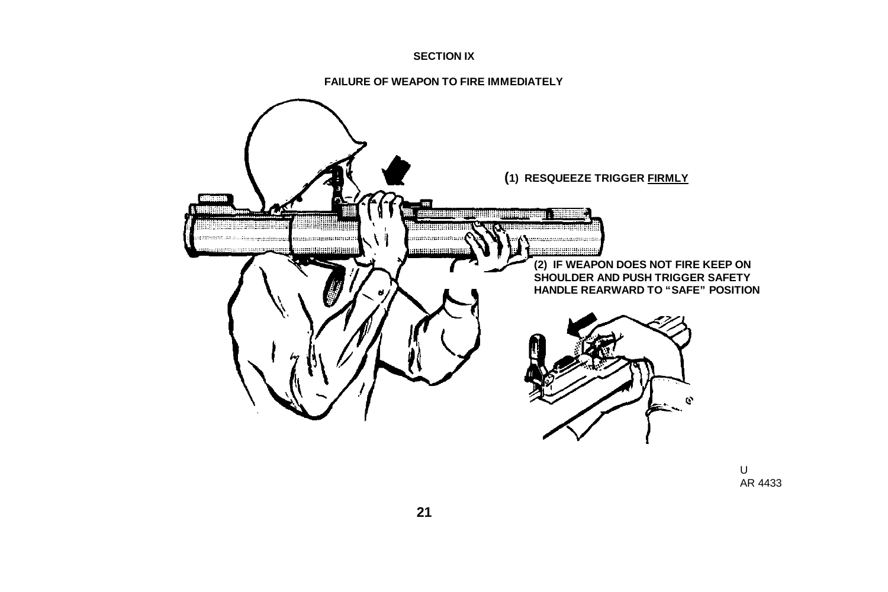#### **SECTION IX**

<span id="page-24-0"></span>

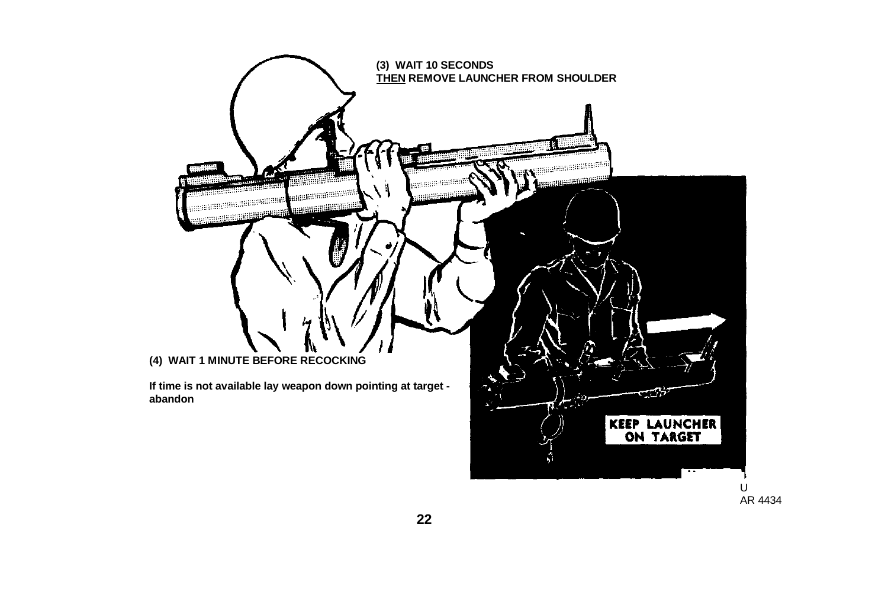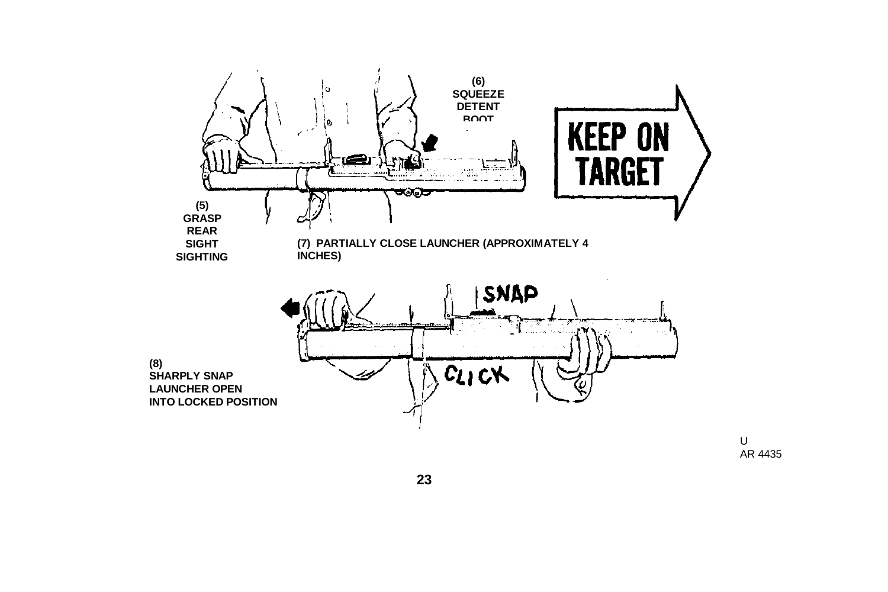

U AR 4435

**23**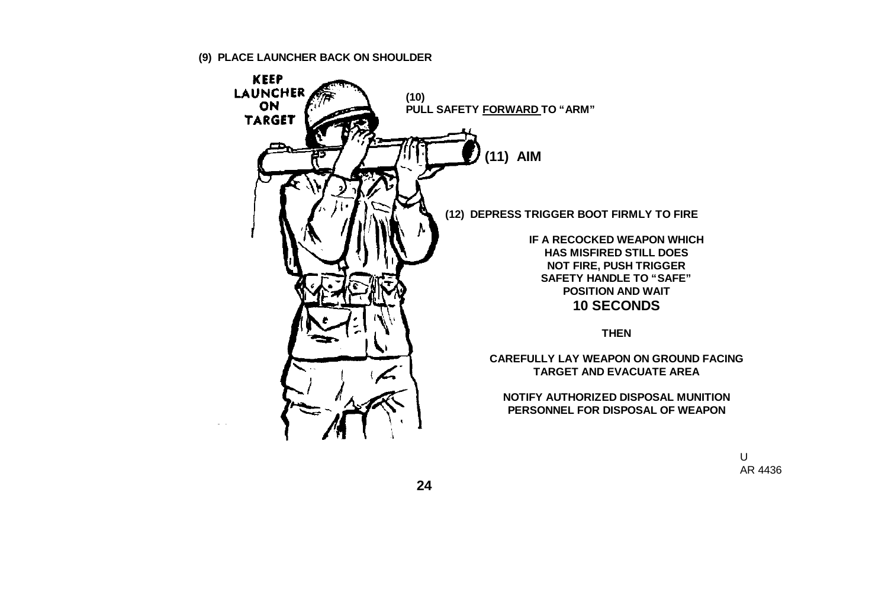#### <span id="page-27-0"></span>**(9) PLACE LAUNCHER BACK ON SHOULDER**



U AR 4436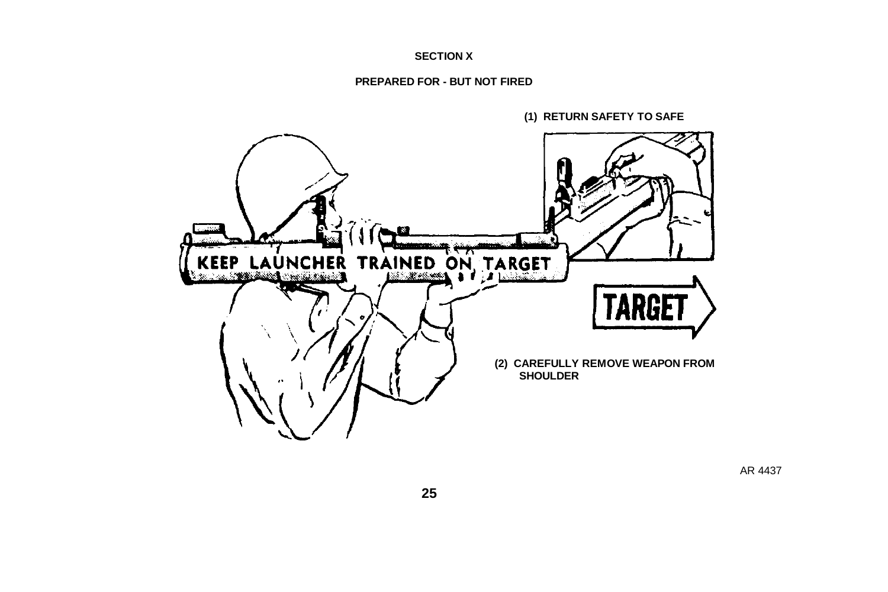#### **SECTION X**

# **PREPARED FOR - BUT NOT FIRED**

<span id="page-28-0"></span>

**(1) RETURN SAFETY TO SAFE**

AR 4437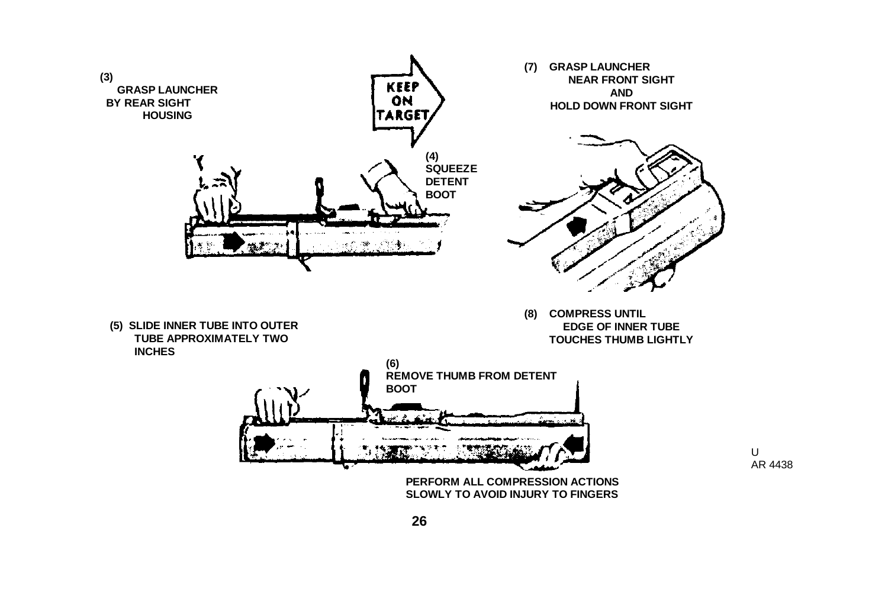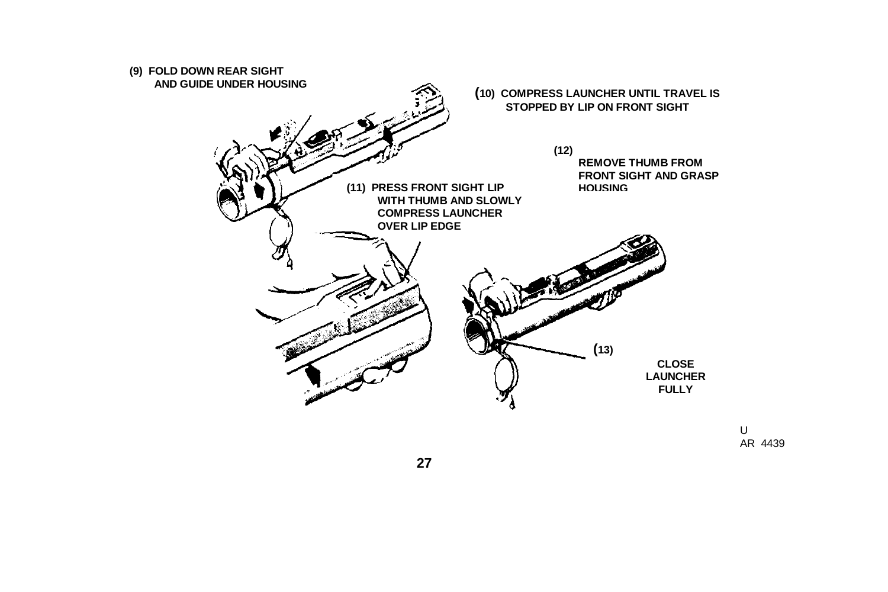

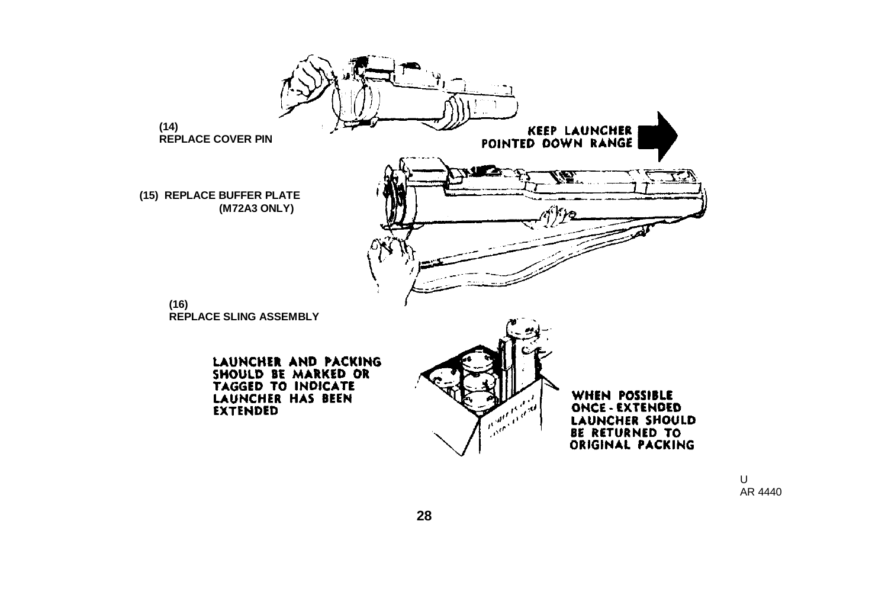<span id="page-31-0"></span>

U AR 4440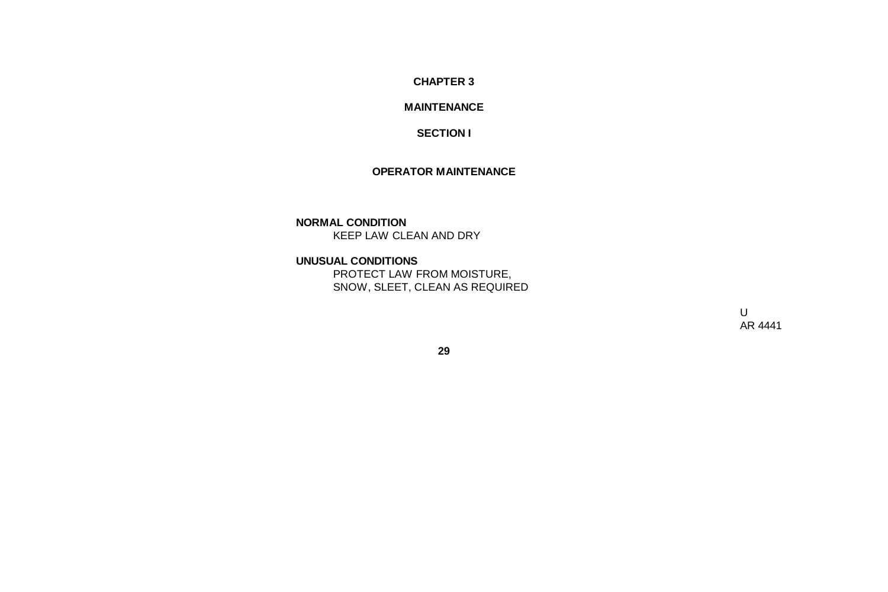**CHAPTER 3**

#### **MAINTENANCE**

#### **SECTION I**

#### **OPERATOR MAINTENANCE**

#### <span id="page-32-0"></span>**NORMAL CONDITION**

KEEP LAW CLEAN AND DRY

# **UNUSUAL CONDITIONS**

PROTECT LAW FROM MOISTURE, SNOW, SLEET, CLEAN AS REQUIRED

> U AR 4441

**29**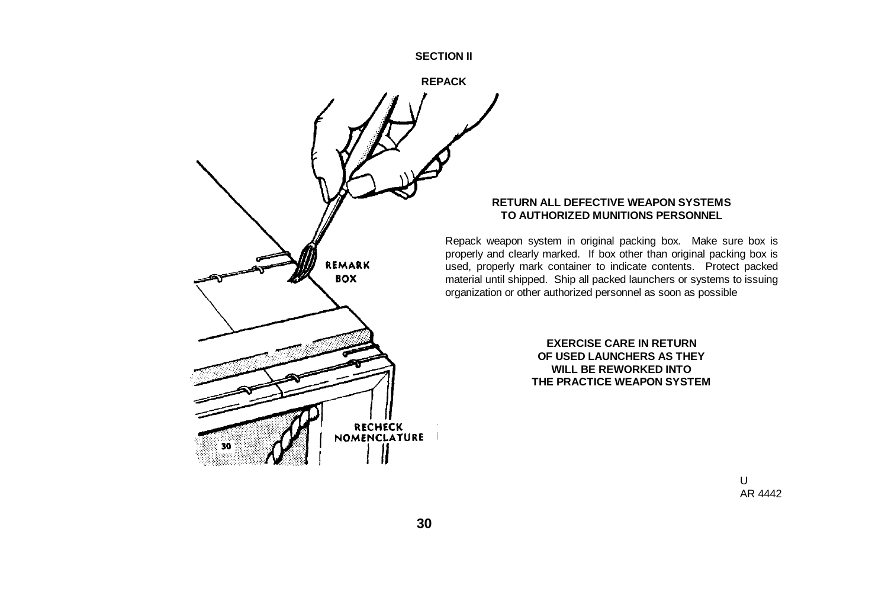#### **SECTION II**

**REPACK**

<span id="page-33-0"></span>

#### **RETURN ALL DEFECTIVE WEAPON SYSTEMS TO AUTHORIZED MUNITIONS PERSONNEL**

Repack weapon system in original packing box. Make sure box is properly and clearly marked. If box other than original packing box is used, properly mark container to indicate contents. Protect packed material until shipped. Ship all packed launchers or systems to issuing organization or other authorized personnel as soon as possible

> **EXERCISE CARE IN RETURN OF USED LAUNCHERS AS THEY WILL BE REWORKED INTO THE PRACTICE WEAPON SYSTEM**

> > U AR 4442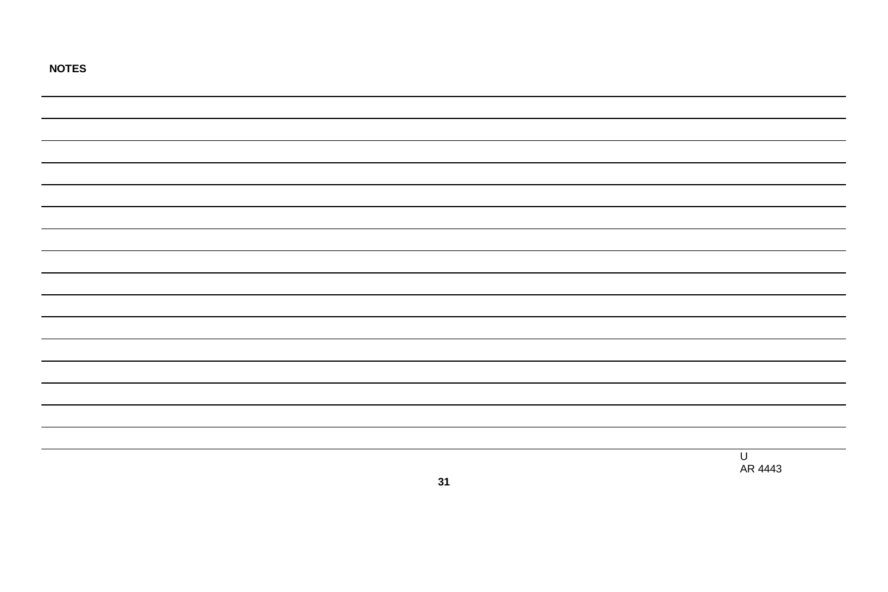| NOTES |    |              |
|-------|----|--------------|
|       |    |              |
|       |    |              |
|       |    |              |
|       |    |              |
|       |    |              |
|       |    |              |
|       |    |              |
|       |    |              |
|       |    |              |
|       |    |              |
|       |    |              |
|       |    |              |
|       |    |              |
|       |    |              |
|       |    |              |
|       |    |              |
|       |    | U<br>AR 4443 |
|       | 31 |              |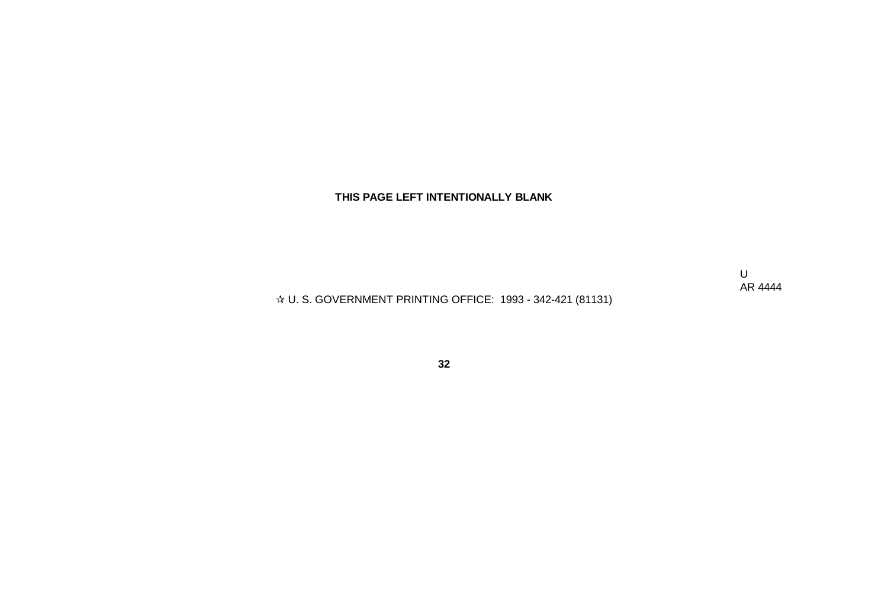# **THIS PAGE LEFT INTENTIONALLY BLANK**

U AR 4444

U. S. GOVERNMENT PRINTING OFFICE: 1993 - 342-421 (81131)

**32**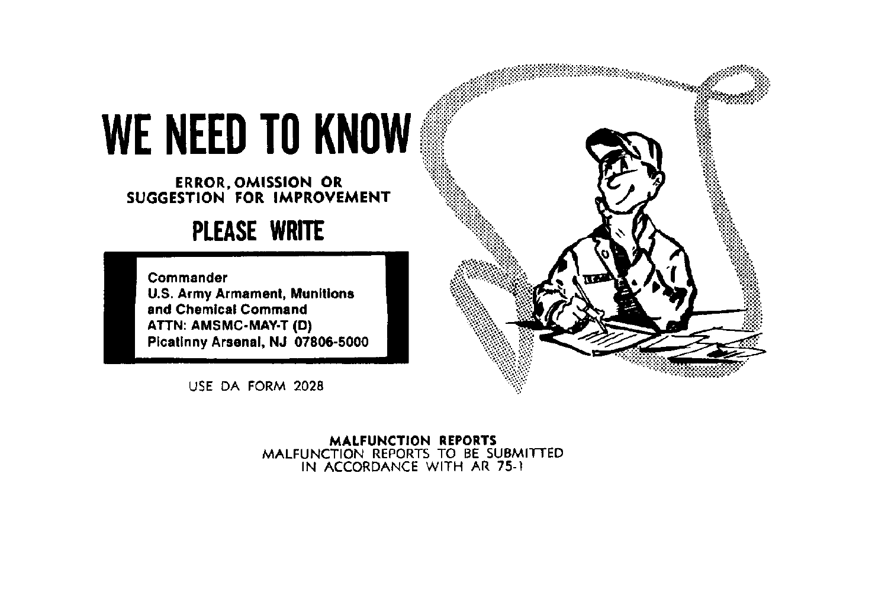# WE NEED TO KNOW

ERROR, OMISSION OR<br>SUGGESTION FOR IMPROVEMENT

# PLEASE WRITE

Commander **U.S. Army Armament, Munitions** and Chemical Command ATTN: AMSMC-MAY-T (D) Picatinny Arsenal, NJ 07806-5000

USE DA FORM 2028



MALFUNCTION REPORTS<br>MALFUNCTION REPORTS TO BE SUBMITTED IN ACCORDANCE WITH AR 75-1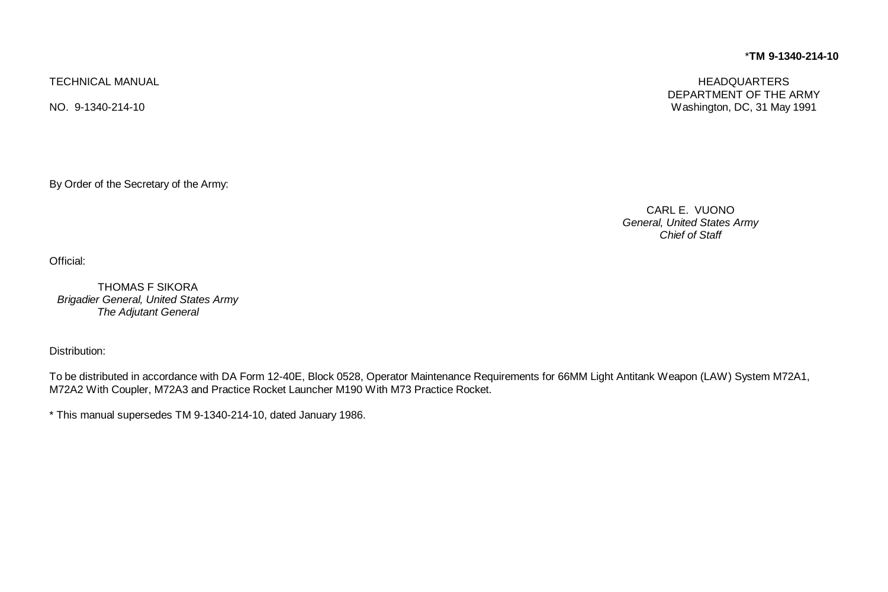# \***TM 9-1340-214-10**

**HEADQUARTERS** DEPARTMENT OF THE ARMY Washington, DC, 31 May 1991

CARL E. VUONO *General, United States Army Chief of Staff*

Official:

THOMAS F SIKORA *Brigadier General, United States Army The Adjutant General*

Distribution:

To be distributed in accordance with DA Form 12-40E, Block 0528, Operator Maintenance Requirements for 66MM Light Antitank Weapon (LAW) System M72A1, M72A2 With Coupler, M72A3 and Practice Rocket Launcher M190 With M73 Practice Rocket.

\* This manual supersedes TM 9-1340-214-10, dated January 1986.

TECHNICAL MANUAL

NO. 9-1340-214-10

By Order of the Secretary of the Army: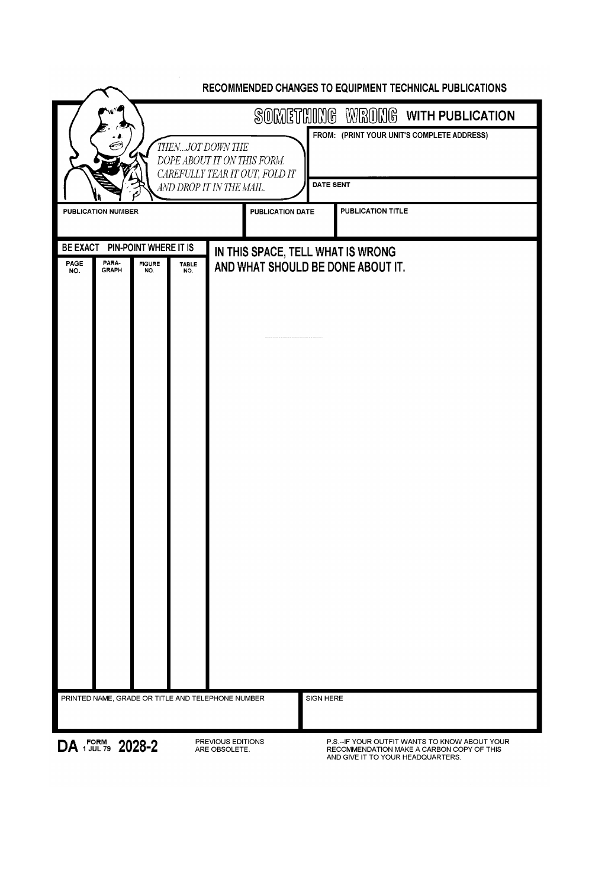| RECOMMENDED CHANGES TO EQUIPMENT TECHNICAL PUBLICATIONS                                                                                                                                                                                                                                   |
|-------------------------------------------------------------------------------------------------------------------------------------------------------------------------------------------------------------------------------------------------------------------------------------------|
| SOMETHING WRONG WITH PUBLICATION<br>FROM: (PRINT YOUR UNIT'S COMPLETE ADDRESS)<br>THENJOT DOWN THE<br>DOPE ABOUT IT ON THIS FORM.<br>CAREFULLY TEAR IT OUT, FOLD IT<br>DATE SENT<br>AND DROP IT IN THE MAIL.<br>PUBLICATION TITLE<br><b>PUBLICATION DATE</b><br><b>PUBLICATION NUMBER</b> |
| PIN-POINT WHERE IT IS<br><b>BE EXACT</b><br>IN THIS SPACE, TELL WHAT IS WRONG                                                                                                                                                                                                             |
| PAGE<br>PARA-<br>GRAPH<br><b>FIGURE</b><br>AND WHAT SHOULD BE DONE ABOUT IT.<br>TABLE<br>NO.<br>NO.<br>NO.                                                                                                                                                                                |
| PRINTED NAME, GRADE OR TITLE AND TELEPHONE NUMBER<br>SIGN HERE                                                                                                                                                                                                                            |
|                                                                                                                                                                                                                                                                                           |
| PREVIOUS EDITIONS<br>P.S.-- IF YOUR OUTFIT WANTS TO KNOW ABOUT YOUR<br>DA FORM 2028-2<br>ARE OBSOLETE.<br>RECOMMENDATION MAKE A CARBON COPY OF THIS<br>AND GIVE IT TO YOUR HEADQUARTERS.                                                                                                  |